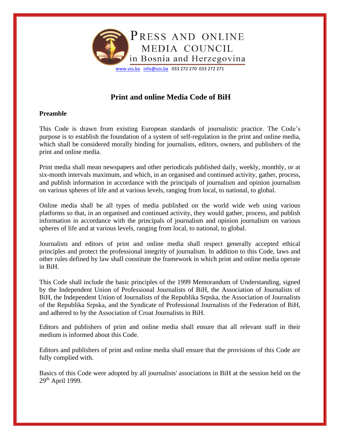

# **Print and online Media Code of BiH**

# **Preamble**

This Code is drawn from existing European standards of journalistic practice. The Code's purpose is to establish the foundation of a system of self-regulation in the print and online media, which shall be considered morally binding for journalists, editors, owners, and publishers of the print and online media.

Print media shall mean newspapers and other periodicals published daily, weekly, monthly, or at six-month intervals maximum, and which, in an organised and continued activity, gather, process, and publish information in accordance with the principals of journalism and opinion journalism on various spheres of life and at various levels, ranging from local, to national, to global.

Online media shall be all types of media published on the world wide web using various platforms so that, in an organised and continued activity, they would gather, process, and publish information in accordance with the principals of journalism and opinion journalism on various spheres of life and at various levels, ranging from local, to national, to global.

Journalists and editors of print and online media shall respect generally accepted ethical principles and protect the professional integrity of journalism. In addition to this Code, laws and other rules defined by law shall constitute the framework in which print and online media operate in BiH.

This Code shall include the basic principles of the 1999 Memorandum of Understanding, signed by the Independent Union of Professional Journalists of BiH, the Association of Journalists of BiH, the Independent Union of Journalists of the Republika Srpska, the Association of Journalists of the Republika Srpska, and the Syndicate of Professional Journalists of the Federation of BiH, and adhered to by the Association of Croat Journalists in BiH.

Editors and publishers of print and online media shall ensure that all relevant staff in their medium is informed about this Code.

Editors and publishers of print and online media shall ensure that the provisions of this Code are fully complied with.

Basics of this Code were adopted by all journalists' associations in BiH at the session held on the  $29<sup>th</sup>$  April 1999.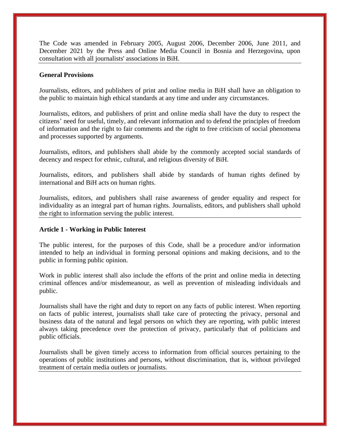The Code was amended in February 2005, August 2006, December 2006, June 2011, and December 2021 by the Press and Online Media Council in Bosnia and Herzegovina, upon consultation with all journalists' associations in BiH.

### **General Provisions**

Journalists, editors, and publishers of print and online media in BiH shall have an obligation to the public to maintain high ethical standards at any time and under any circumstances.

Journalists, editors, and publishers of print and online media shall have the duty to respect the citizens' need for useful, timely, and relevant information and to defend the principles of freedom of information and the right to fair comments and the right to free criticism of social phenomena and processes supported by arguments.

Journalists, editors, and publishers shall abide by the commonly accepted social standards of decency and respect for ethnic, cultural, and religious diversity of BiH.

Journalists, editors, and publishers shall abide by standards of human rights defined by international and BiH acts on human rights.

Journalists, editors, and publishers shall raise awareness of gender equality and respect for individuality as an integral part of human rights. Journalists, editors, and publishers shall uphold the right to information serving the public interest.

### **Article 1 - Working in Public Interest**

The public interest, for the purposes of this Code, shall be a procedure and/or information intended to help an individual in forming personal opinions and making decisions, and to the public in forming public opinion.

Work in public interest shall also include the efforts of the print and online media in detecting criminal offences and/or misdemeanour, as well as prevention of misleading individuals and public.

Journalists shall have the right and duty to report on any facts of public interest. When reporting on facts of public interest, journalists shall take care of protecting the privacy, personal and business data of the natural and legal persons on which they are reporting, with public interest always taking precedence over the protection of privacy, particularly that of politicians and public officials.

Journalists shall be given timely access to information from official sources pertaining to the operations of public institutions and persons, without discrimination, that is, without privileged treatment of certain media outlets or journalists.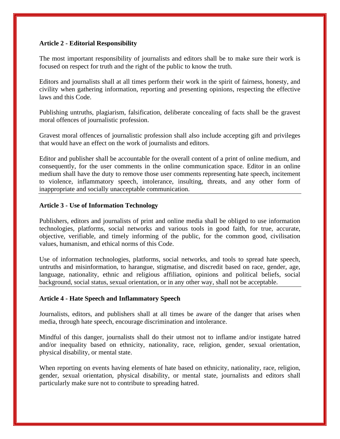# **Article 2 - Editorial Responsibility**

The most important responsibility of journalists and editors shall be to make sure their work is focused on respect for truth and the right of the public to know the truth.

Editors and journalists shall at all times perform their work in the spirit of fairness, honesty, and civility when gathering information, reporting and presenting opinions, respecting the effective laws and this Code.

Publishing untruths, plagiarism, falsification, deliberate concealing of facts shall be the gravest moral offences of journalistic profession.

Gravest moral offences of journalistic profession shall also include accepting gift and privileges that would have an effect on the work of journalists and editors.

Editor and publisher shall be accountable for the overall content of a print of online medium, and consequently, for the user comments in the online communication space. Editor in an online medium shall have the duty to remove those user comments representing hate speech, incitement to violence, inflammatory speech, intolerance, insulting, threats, and any other form of inappropriate and socially unacceptable communication.

# **Article 3 - Use of Information Technology**

Publishers, editors and journalists of print and online media shall be obliged to use information technologies, platforms, social networks and various tools in good faith, for true, accurate, objective, verifiable, and timely informing of the public, for the common good, civilisation values, humanism, and ethical norms of this Code.

Use of information technologies, platforms, social networks, and tools to spread hate speech, untruths and misinformation, to harangue, stigmatise, and discredit based on race, gender, age, language, nationality, ethnic and religious affiliation, opinions and political beliefs, social background, social status, sexual orientation, or in any other way, shall not be acceptable.

# **Article 4 - Hate Speech and Inflammatory Speech**

Journalists, editors, and publishers shall at all times be aware of the danger that arises when media, through hate speech, encourage discrimination and intolerance.

Mindful of this danger, journalists shall do their utmost not to inflame and/or instigate hatred and/or inequality based on ethnicity, nationality, race, religion, gender, sexual orientation, physical disability, or mental state.

When reporting on events having elements of hate based on ethnicity, nationality, race, religion, gender, sexual orientation, physical disability, or mental state, journalists and editors shall particularly make sure not to contribute to spreading hatred.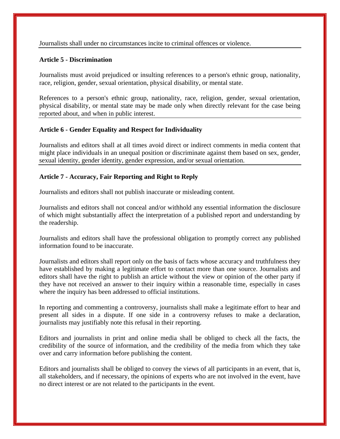Journalists shall under no circumstances incite to criminal offences or violence.

## **Article 5 - Discrimination**

Journalists must avoid prejudiced or insulting references to a person's ethnic group, nationality, race, religion, gender, sexual orientation, physical disability, or mental state.

References to a person's ethnic group, nationality, race, religion, gender, sexual orientation, physical disability, or mental state may be made only when directly relevant for the case being reported about, and when in public interest.

# **Article 6 - Gender Equality and Respect for Individuality**

Journalists and editors shall at all times avoid direct or indirect comments in media content that might place individuals in an unequal position or discriminate against them based on sex, gender, sexual identity, gender identity, gender expression, and/or sexual orientation.

# **Article 7 - Accuracy, Fair Reporting and Right to Reply**

Journalists and editors shall not publish inaccurate or misleading content.

Journalists and editors shall not conceal and/or withhold any essential information the disclosure of which might substantially affect the interpretation of a published report and understanding by the readership.

Journalists and editors shall have the professional obligation to promptly correct any published information found to be inaccurate.

Journalists and editors shall report only on the basis of facts whose accuracy and truthfulness they have established by making a legitimate effort to contact more than one source. Journalists and editors shall have the right to publish an article without the view or opinion of the other party if they have not received an answer to their inquiry within a reasonable time, especially in cases where the inquiry has been addressed to official institutions.

In reporting and commenting a controversy, journalists shall make a legitimate effort to hear and present all sides in a dispute. If one side in a controversy refuses to make a declaration, journalists may justifiably note this refusal in their reporting.

Editors and journalists in print and online media shall be obliged to check all the facts, the credibility of the source of information, and the credibility of the media from which they take over and carry information before publishing the content.

Editors and journalists shall be obliged to convey the views of all participants in an event, that is, all stakeholders, and if necessary, the opinions of experts who are not involved in the event, have no direct interest or are not related to the participants in the event.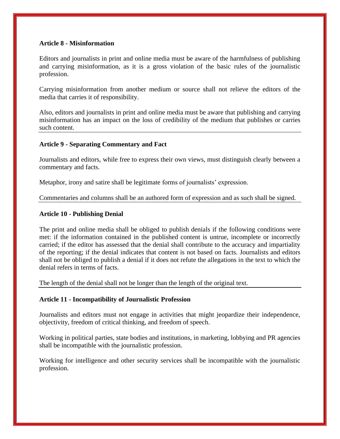# **Article 8 - Misinformation**

Editors and journalists in print and online media must be aware of the harmfulness of publishing and carrying misinformation, as it is a gross violation of the basic rules of the journalistic profession.

Carrying misinformation from another medium or source shall not relieve the editors of the media that carries it of responsibility.

Also, editors and journalists in print and online media must be aware that publishing and carrying misinformation has an impact on the loss of credibility of the medium that publishes or carries such content.

### **Article 9 - Separating Commentary and Fact**

Journalists and editors, while free to express their own views, must distinguish clearly between a commentary and facts.

Metaphor, irony and satire shall be legitimate forms of journalists' expression.

Commentaries and columns shall be an authored form of expression and as such shall be signed.

### **Article 10 - Publishing Denial**

The print and online media shall be obliged to publish denials if the following conditions were met: if the information contained in the published content is untrue, incomplete or incorrectly carried; if the editor has assessed that the denial shall contribute to the accuracy and impartiality of the reporting; if the denial indicates that content is not based on facts. Journalists and editors shall not be obliged to publish a denial if it does not refute the allegations in the text to which the denial refers in terms of facts.

The length of the denial shall not be longer than the length of the original text.

### **Article 11 - Incompatibility of Journalistic Profession**

Journalists and editors must not engage in activities that might jeopardize their independence, objectivity, freedom of critical thinking, and freedom of speech.

Working in political parties, state bodies and institutions, in marketing, lobbying and PR agencies shall be incompatible with the journalistic profession.

Working for intelligence and other security services shall be incompatible with the journalistic profession.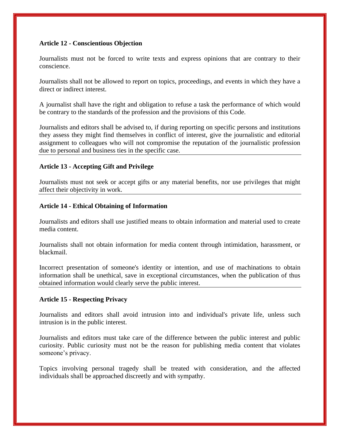## **Article 12 - Conscientious Objection**

Journalists must not be forced to write texts and express opinions that are contrary to their conscience.

Journalists shall not be allowed to report on topics, proceedings, and events in which they have a direct or indirect interest.

A journalist shall have the right and obligation to refuse a task the performance of which would be contrary to the standards of the profession and the provisions of this Code.

Journalists and editors shall be advised to, if during reporting on specific persons and institutions they assess they might find themselves in conflict of interest, give the journalistic and editorial assignment to colleagues who will not compromise the reputation of the journalistic profession due to personal and business ties in the specific case.

# **Article 13 - Accepting Gift and Privilege**

Journalists must not seek or accept gifts or any material benefits, nor use privileges that might affect their objectivity in work.

### **Article 14 - Ethical Obtaining of Information**

Journalists and editors shall use justified means to obtain information and material used to create media content.

Journalists shall not obtain information for media content through intimidation, harassment, or blackmail.

Incorrect presentation of someone's identity or intention, and use of machinations to obtain information shall be unethical, save in exceptional circumstances, when the publication of thus obtained information would clearly serve the public interest.

### **Article 15 - Respecting Privacy**

Journalists and editors shall avoid intrusion into and individual's private life, unless such intrusion is in the public interest.

Journalists and editors must take care of the difference between the public interest and public curiosity. Public curiosity must not be the reason for publishing media content that violates someone's privacy.

Topics involving personal tragedy shall be treated with consideration, and the affected individuals shall be approached discreetly and with sympathy.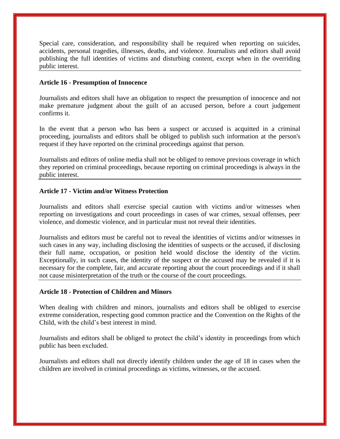Special care, consideration, and responsibility shall be required when reporting on suicides, accidents, personal tragedies, illnesses, deaths, and violence. Journalists and editors shall avoid publishing the full identities of victims and disturbing content, except when in the overriding public interest.

#### **Article 16 - Presumption of Innocence**

Journalists and editors shall have an obligation to respect the presumption of innocence and not make premature judgment about the guilt of an accused person, before a court judgement confirms it.

In the event that a person who has been a suspect or accused is acquitted in a criminal proceeding, journalists and editors shall be obliged to publish such information at the person's request if they have reported on the criminal proceedings against that person.

Journalists and editors of online media shall not be obliged to remove previous coverage in which they reported on criminal proceedings, because reporting on criminal proceedings is always in the public interest.

### **Article 17 - Victim and/or Witness Protection**

Journalists and editors shall exercise special caution with victims and/or witnesses when reporting on investigations and court proceedings in cases of war crimes, sexual offenses, peer violence, and domestic violence, and in particular must not reveal their identities.

Journalists and editors must be careful not to reveal the identities of victims and/or witnesses in such cases in any way, including disclosing the identities of suspects or the accused, if disclosing their full name, occupation, or position held would disclose the identity of the victim. Exceptionally, in such cases, the identity of the suspect or the accused may be revealed if it is necessary for the complete, fair, and accurate reporting about the court proceedings and if it shall not cause misinterpretation of the truth or the course of the court proceedings.

#### **Article 18 - Protection of Children and Minors**

When dealing with children and minors, journalists and editors shall be obliged to exercise extreme consideration, respecting good common practice and the Convention on the Rights of the Child, with the child's best interest in mind.

Journalists and editors shall be obliged to protect the child's identity in proceedings from which public has been excluded.

Journalists and editors shall not directly identify children under the age of 18 in cases when the children are involved in criminal proceedings as victims, witnesses, or the accused.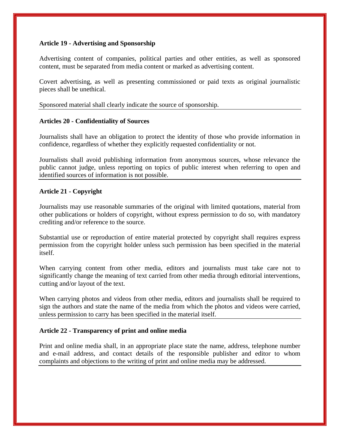## **Article 19 - Advertising and Sponsorship**

Advertising content of companies, political parties and other entities, as well as sponsored content, must be separated from media content or marked as advertising content.

Covert advertising, as well as presenting commissioned or paid texts as original journalistic pieces shall be unethical.

Sponsored material shall clearly indicate the source of sponsorship.

### **Articles 20 - Confidentiality of Sources**

Journalists shall have an obligation to protect the identity of those who provide information in confidence, regardless of whether they explicitly requested confidentiality or not.

Journalists shall avoid publishing information from anonymous sources, whose relevance the public cannot judge, unless reporting on topics of public interest when referring to open and identified sources of information is not possible.

### **Article 21 - Copyright**

Journalists may use reasonable summaries of the original with limited quotations, material from other publications or holders of copyright, without express permission to do so, with mandatory crediting and/or reference to the source.

Substantial use or reproduction of entire material protected by copyright shall requires express permission from the copyright holder unless such permission has been specified in the material itself.

When carrying content from other media, editors and journalists must take care not to significantly change the meaning of text carried from other media through editorial interventions, cutting and/or layout of the text.

When carrying photos and videos from other media, editors and journalists shall be required to sign the authors and state the name of the media from which the photos and videos were carried, unless permission to carry has been specified in the material itself.

### **Article 22 - Transparency of print and online media**

Print and online media shall, in an appropriate place state the name, address, telephone number and e-mail address, and contact details of the responsible publisher and editor to whom complaints and objections to the writing of print and online media may be addressed.